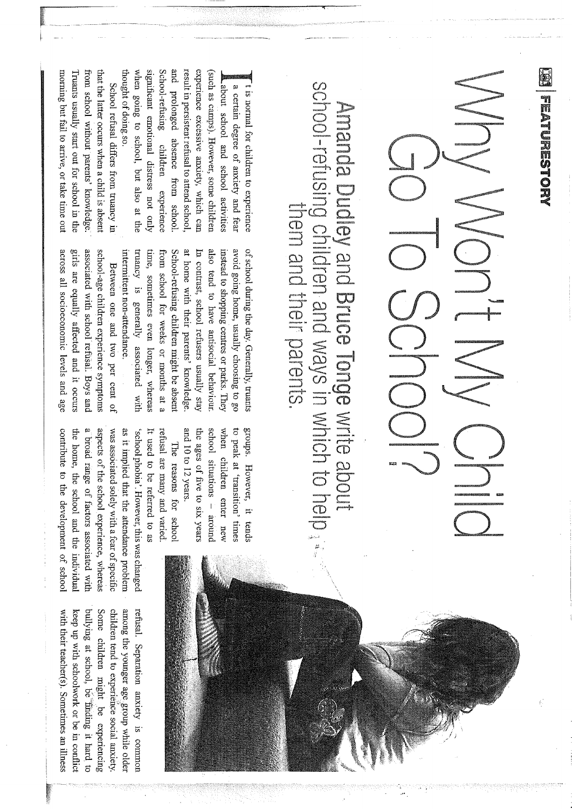重 **THERMONICS** 

## NONEN CONTRO

## school-refusing children and ways in which to help Amanda Dubi ynd Bruce Tonge write about them and their parents d Bruce Tonge write · and ways in whic

significant emotional distress not only School-refusing children experience and prolonged absence from school thought of doing so. thought of doing so. when going to school, but also at the and prolonged absence from school. result in persistent refusal to attend school result in persistent refusal to attend school, experience excessive anxiety, which can when going to school, but also at the significant emotional distress not only School-refusing children experience experience excessive anxiety, which can 1 is normal for children to experience<br>a certain degree of anxiety and fear<br>1 about school and school activities<br>(such as camps). However, some children (such as camps). However, some children t is normal for children to experience about school and school activities a certain degree of anxiety and fear

morning but fail to arrive, or take time out morning but fail to arrive, or take time out Iruants usually start out for school in the Truants usually start out for school in the from school without parents' knowledge from school without parents' knowledge. · that the latter occurs when a child is absent that the latter occurs when a child is absent School refusal differs from truancy in School refusal differs from truancy in

> avoid going home, usually choosing to go intermittent non-attendance. truancy is generally associated with truancy is generally associated with time, sometimes even longer, whereas time, sometimes even longer, whereas from school for weeks or months at a from school for weeks or months at a at home with their parents' knowledge at home with their parents' knowledge. In contrast, school refusers usually stay also tend to have antisocial behaviour also tend to have antisocial behaviour. instead to shopping centres or parks. They instead to shopping centres or parks. They avoid going home, usually choosing to go of school during the day. Generally, truants of school during the day. Generally, truants intermittent non-attendance. School-refusing children might be absen School-refusing children might be absent In contrast, school refusers usually stay

across all socioeconomic levels and age girls are equally affected and it occurs girls are equally affected and it occurs associated with school refusal. Boys and associated with school· refusal. Boys and school-age children experience symptoms across all socioeconomic levels and age school-age children experience symptoms Between one and two per cent of Between one and two per cent of

> the ages of five to six years when children enter new when children enter new to peak at 'transition' times to peak at 'transition' times groups. However, it tends groups. However, it tends and 10 to 12 years. and 10 to 12 years. the ages of five to six years school situations - around school situations -

refusal are many and varied refusal are many and varied. The reasons for schoo The reasons for school

contribute to the development of school contribute to the development of school the home, the school and the individual the home, the school and the individual a broad range of factors associated with a broad range of factors associated with aspects of the school experience, whereas aspects of the school experience, whereas was associated solely with a fear of specific was associated solely with a fear of specific as it implied that the attendance problem as it implied that the attendance problem 'school phobia'. However, this was changed It used to be referred to as It used to be referred to as 'school phobia'. However, this was changed

with their teacher(s). Sometimes an illness with their teacher(s). Sometimes an illness keep up with schoolwork or be in conflict keep up with schoolwork or be in conflict bullying at school, be finding it hard to bullying at school, be finding it hard to Some children might be experiencing Some children might be experiencing children tend to experience social anxiety. children tend. to experiehce social anxiety. among the younger age group while older among the younger age .gt:oup while older refusal. Separation anxiety is common refusal. Separation anxiety is common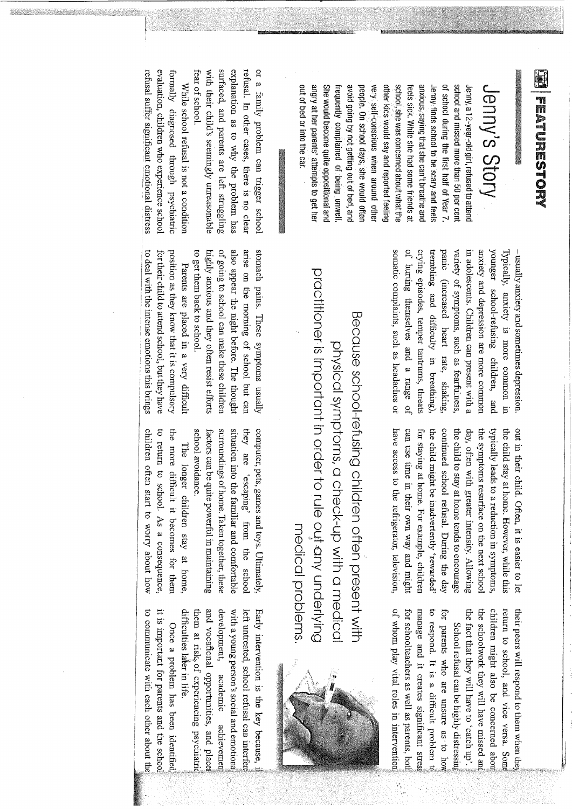E WESTORY TEACHESTS THE MANUSCRIPT

-------------·

## Jenny's **Story**

She would become quite oppositional and avoid going by not getting out of bed, and of school during the first half of Year 7 school and missed more than 50 per cent out of bed or into the car. angry at her parents' attempts to get her She would become quite oppositional and frequently complained of being unwell frequently complained of being unwell. avoid going by not getting out of bed, and people. On school days, she would ofter people. On school days, she would often very self-conscious when around other very s.elf~conscious when around other other kids would say and reported feeling other kids would say and reported feeling school, she was concerned about what the school, she was concerned about what the feels sick. While she had some friends at feels sick. While she had some friends at anxious, saying that she can't breathe and anxious, saying that she can't breathe and Jenny finds school to be scary and feels Jenny finds school to be scary. and feels of school during the first half of Year 7. school and missed more.than 50 per cent Jenny, a 12-yegr-old girl, refused to attend Jenny, a 12-ye?-r-old girl, refused to attend

 $10 \text{ } \text{Cat}$ .  $\blacksquare$ 

with their child's seemingly unreasonable surfaced, and parents are left struggling explanation as to why the problem has refusal. In other cases, there is no clear or a family problem can trigger school fear of school. refusal. In other cases, there is no clear fear of school. with their child's seemingly unreasonable surfaced, and parents are left struggling explanation as to why the problem has or a family problem can trigger school

refusal suffer significant emotional distress evaluation, children who experience schoo formally diagnosed through psychiatric refusal suffer significant emotional distress evaluation, children who experience school formally diagnosed through psychiatric While school refusal is not a condition While school refusal is not a condition

> somatic complaints, such as headaches or of hurting themselves and a range of crying episodes, temper tantrums, threats trembling and difficulty in breathing) trembling and difficulty in breathing), panic (increased heart rate, shaking panic (increased heart rate, shaking, variety of symptoms, such as fearfulness, in adolescents. Children can present with a in adolescents. Children can present with a anxiety and depression are more common anxiety and depression are more common younger school-refusing children, and younger school-refusing children, and Typically, anxiety is more common in Typically, anxiety is more common in somatic complaints, such as headaches or of hurting themselves and a range of crying episodes, temper tantrums, threats variety of symptoms, such as fearfulness, – usually anxiety and sometimes depression usually anxiety and sometimes depression.

> have access to the refrigerator, television, continued school refusal. During the day out in their child. Often, it is easier to let have access to the refrigerator, television, can use time in their own way and might can use time in their own way and might for staying at home. For example, children for staying at home. For example, children the child might be inadvertently 'rewarded the child might be inadvertently 'rewarded' continued school refusal. During the day the child to stay at home tends to encourage the child to stay at home tends to encourage day, often with greater intensity. Allowing day, often with greater intensity. Allowing the symptoms resurface on the next school the symptoms resurface on the next school typically leads to a reduction in symptoms typically leads to a reduction in symptoms, the child stay at home. However, while this the child stay at home. However, while this out in their child. Often, it is easier to let

> > children might also be concerned abou the fact that they will have to 'catch up'. the fact that they will have to 'catch up'. the schoolwork they will have missed an the schoolwork they will have missed children might also be concerned return to school, and vice versa. Som return to school, and vice versa. their peers will respond to them when their peers will respond to them when the School refusal can be highly distressing School refusal can be highly

of whom play vital roles in intervention of whom play vital roles in intervention1 for schoolteachers as well as parents, bot for schoolteachers as well as parents, manage and it creates significant stres manage and it creates significant to respond. It is a difficult problem to to respond. It is a difficult problem for parents who are unsure as to how for parents who are unsure as to

practitioner is important in order to rule out any underlying practitioner is important in order to rule ou;t .any underlying Because school-refusing children often present with Because school-refusing children often present with physical symptoms, a check-up with a medical physical symptoms, a check-up with a medical medical problems medical problems.

to get them back to school. highly anxious and they often resist efforts of going to school can make these children also appear the night before. The though arise on the morning of school but car stomach pains. These symptoms usually to get them back to school. highly anxious and they often resist efforts of going to school can malce these children also appear the night before. The thought arise on the morning of school but can stomach pains. These symptoms usually

to deal with the intense emotions this brings to deal with the intense emotions this brings for their child to attend school, but they have for their child to attend school, but they have position as they know that it is compulsory position as they know that it is compulsory Parents are placed in a very difficult Parents are placed in a very difficult

> computer, pets, games and toys. Ultimately school avoidance. factors can be quite powerful in maintaining surroundings of home. Taken together, these surroundings of home. Talcen together, these situation into the familiar and comfortable situation into the familiar and comfortable they are 'escaping' from the school they are 'escaping' from the school computer, pets, games and toys. Ultimately, school avoidance. factors can be quite powerful in maintaining

children often start to worry about how children often start to worry about how to return to school. As a consequence, to return to school. As a consequence, the more difficult it becomes for then the more difficult it becomes for them The longer children stay at home The longer children stay at home,

it is important for parents and the to communicate with each other about

it is important for parents and the school

to communicate with each other about the

and vocaflonal opportunities, and place Early intervention is the key because, them at risk of experiencing psychiatri and vocafional opportunities, and with a young person's social and emotional with a young person's social and emotional left untreated, school refusal can interfer Once a problem has been identified Once a problem has been identified academic achievemen ੇ



difficulties later in life. difficulties later in life. them at risk of experiencing development, development, academic